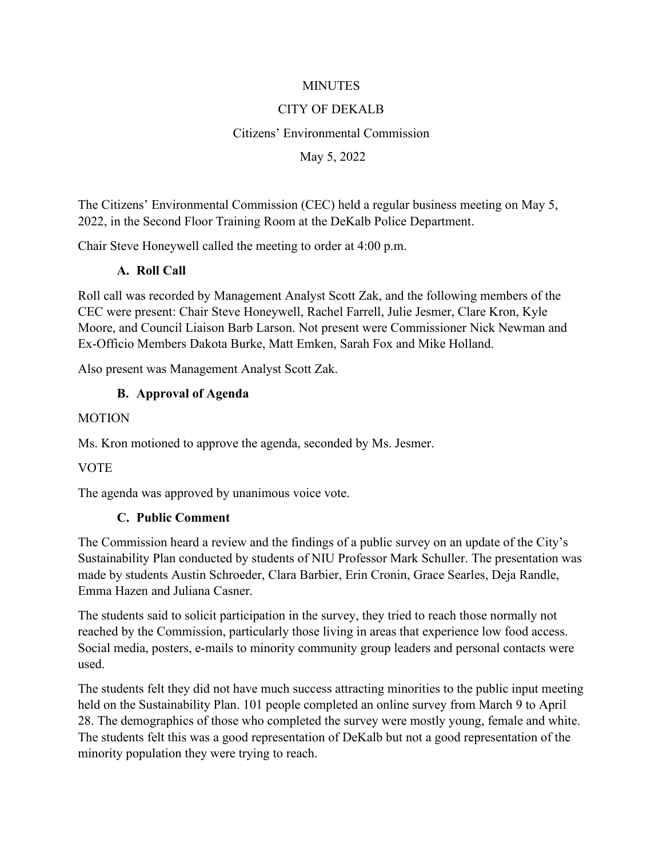#### **MINUTES**

#### CITY OF DEKALB

#### Citizens' Environmental Commission

#### May 5, 2022

The Citizens' Environmental Commission (CEC) held a regular business meeting on May 5, 2022, in the Second Floor Training Room at the DeKalb Police Department.

Chair Steve Honeywell called the meeting to order at 4:00 p.m.

#### **A. Roll Call**

Roll call was recorded by Management Analyst Scott Zak, and the following members of the CEC were present: Chair Steve Honeywell, Rachel Farrell, Julie Jesmer, Clare Kron, Kyle Moore, and Council Liaison Barb Larson. Not present were Commissioner Nick Newman and Ex-Officio Members Dakota Burke, Matt Emken, Sarah Fox and Mike Holland.

Also present was Management Analyst Scott Zak.

#### **B. Approval of Agenda**

#### **MOTION**

Ms. Kron motioned to approve the agenda, seconded by Ms. Jesmer.

VOTE

The agenda was approved by unanimous voice vote.

#### **C. Public Comment**

The Commission heard a review and the findings of a public survey on an update of the City's Sustainability Plan conducted by students of NIU Professor Mark Schuller. The presentation was made by students Austin Schroeder, Clara Barbier, Erin Cronin, Grace Searles, Deja Randle, Emma Hazen and Juliana Casner.

The students said to solicit participation in the survey, they tried to reach those normally not reached by the Commission, particularly those living in areas that experience low food access. Social media, posters, e-mails to minority community group leaders and personal contacts were used.

The students felt they did not have much success attracting minorities to the public input meeting held on the Sustainability Plan. 101 people completed an online survey from March 9 to April 28. The demographics of those who completed the survey were mostly young, female and white. The students felt this was a good representation of DeKalb but not a good representation of the minority population they were trying to reach.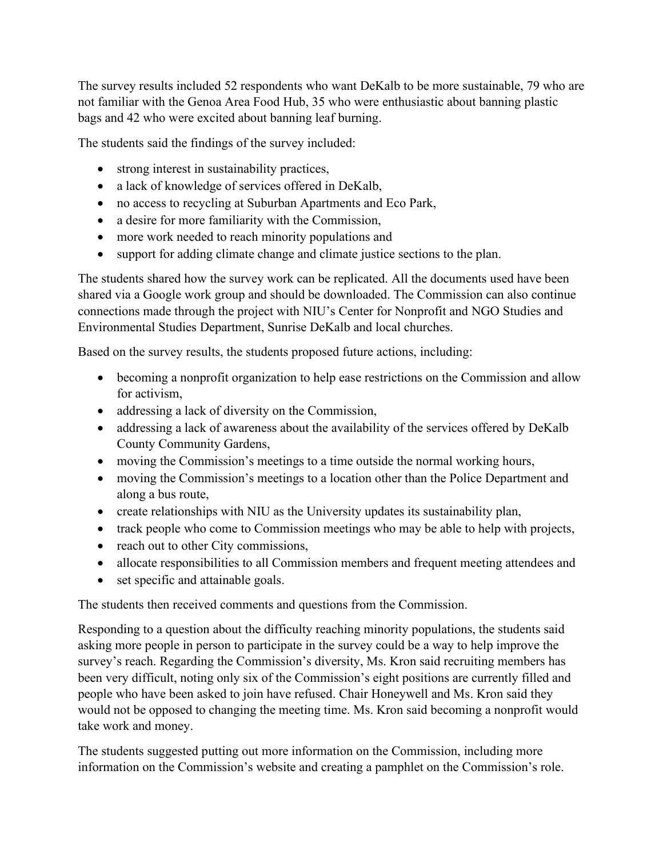The survey results included 52 respondents who want DeKalb to be more sustainable, 79 who are not familiar with the Genoa Area Food Hub, 35 who were enthusiastic about banning plastic bags and 42 who were excited about banning leaf burning.

The students said the findings of the survey included:

- strong interest in sustainability practices,
- a lack of knowledge of services offered in DeKalb,
- no access to recycling at Suburban Apartments and Eco Park,
- a desire for more familiarity with the Commission,
- more work needed to reach minority populations and
- support for adding climate change and climate justice sections to the plan.

The students shared how the survey work can be replicated. All the documents used have been shared via a Google work group and should be downloaded. The Commission can also continue connections made through the project with NIU's Center for Nonprofit and NGO Studies and Environmental Studies Department, Sunrise DeKalb and local churches.

Based on the survey results, the students proposed future actions, including:

- becoming a nonprofit organization to help ease restrictions on the Commission and allow for activism,
- addressing a lack of diversity on the Commission,
- addressing a lack of awareness about the availability of the services offered by DeKalb County Community Gardens,
- moving the Commission's meetings to a time outside the normal working hours,
- moving the Commission's meetings to a location other than the Police Department and along a bus route,
- create relationships with NIU as the University updates its sustainability plan,
- track people who come to Commission meetings who may be able to help with projects,
- reach out to other City commissions,
- allocate responsibilities to all Commission members and frequent meeting attendees and
- set specific and attainable goals.

The students then received comments and questions from the Commission.

Responding to a question about the difficulty reaching minority populations, the students said asking more people in person to participate in the survey could be a way to help improve the survey's reach. Regarding the Commission's diversity, Ms. Kron said recruiting members has been very difficult, noting only six of the Commission's eight positions are currently filled and people who have been asked to join have refused. Chair Honeywell and Ms. Kron said they would not be opposed to changing the meeting time. Ms. Kron said becoming a nonprofit would take work and money.

The students suggested putting out more information on the Commission, including more information on the Commission's website and creating a pamphlet on the Commission's role.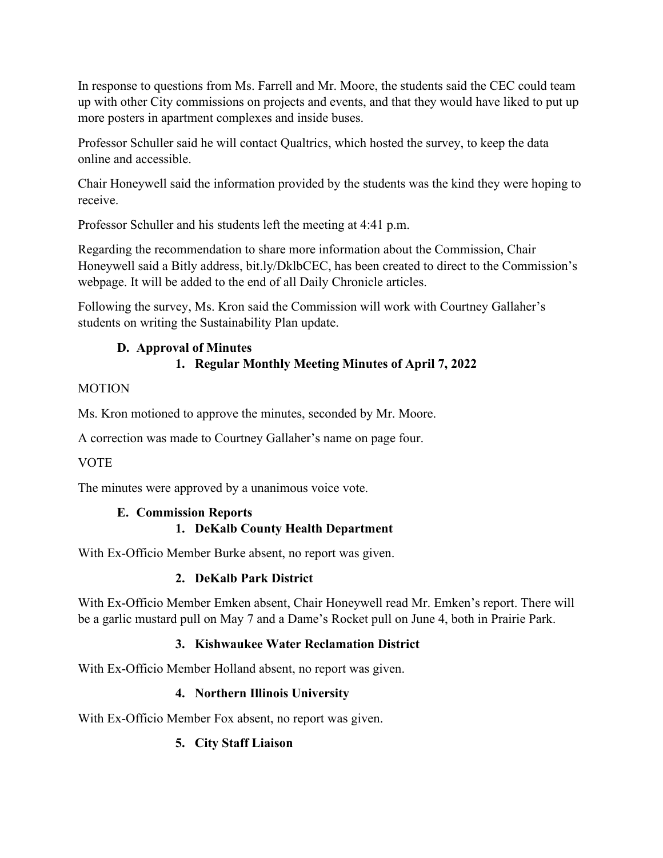In response to questions from Ms. Farrell and Mr. Moore, the students said the CEC could team up with other City commissions on projects and events, and that they would have liked to put up more posters in apartment complexes and inside buses.

Professor Schuller said he will contact Qualtrics, which hosted the survey, to keep the data online and accessible.

Chair Honeywell said the information provided by the students was the kind they were hoping to receive.

Professor Schuller and his students left the meeting at 4:41 p.m.

Regarding the recommendation to share more information about the Commission, Chair Honeywell said a Bitly address, bit.ly/DklbCEC, has been created to direct to the Commission's webpage. It will be added to the end of all Daily Chronicle articles.

Following the survey, Ms. Kron said the Commission will work with Courtney Gallaher's students on writing the Sustainability Plan update.

#### **D. Approval of Minutes 1. Regular Monthly Meeting Minutes of April 7, 2022**

### **MOTION**

Ms. Kron motioned to approve the minutes, seconded by Mr. Moore.

A correction was made to Courtney Gallaher's name on page four.

## VOTE

The minutes were approved by a unanimous voice vote.

#### **E. Commission Reports 1. DeKalb County Health Department**

With Ex-Officio Member Burke absent, no report was given.

## **2. DeKalb Park District**

With Ex-Officio Member Emken absent, Chair Honeywell read Mr. Emken's report. There will be a garlic mustard pull on May 7 and a Dame's Rocket pull on June 4, both in Prairie Park.

## **3. Kishwaukee Water Reclamation District**

With Ex-Officio Member Holland absent, no report was given.

## **4. Northern Illinois University**

With Ex-Officio Member Fox absent, no report was given.

## **5. City Staff Liaison**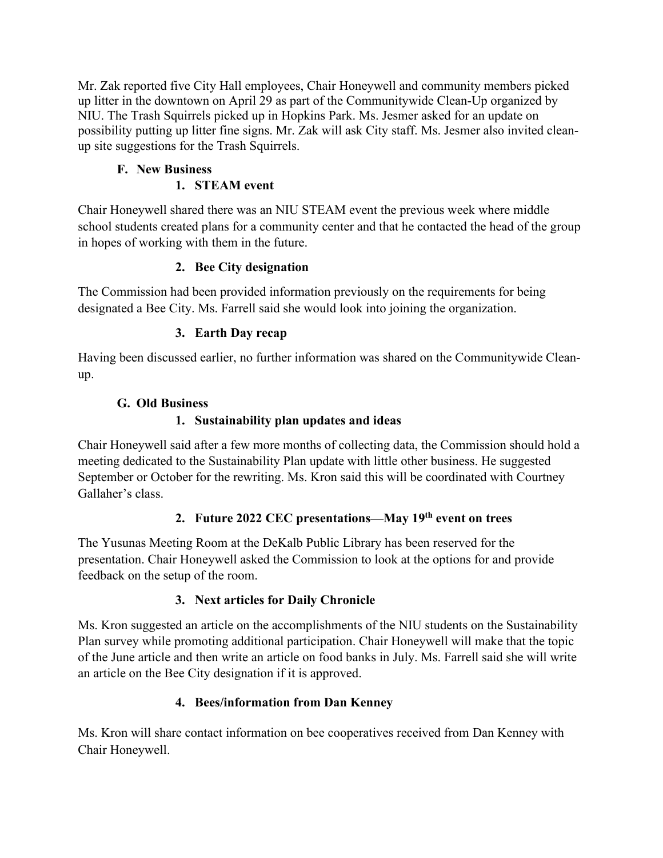Mr. Zak reported five City Hall employees, Chair Honeywell and community members picked up litter in the downtown on April 29 as part of the Communitywide Clean-Up organized by NIU. The Trash Squirrels picked up in Hopkins Park. Ms. Jesmer asked for an update on possibility putting up litter fine signs. Mr. Zak will ask City staff. Ms. Jesmer also invited cleanup site suggestions for the Trash Squirrels.

# **F. New Business**

## **1. STEAM event**

Chair Honeywell shared there was an NIU STEAM event the previous week where middle school students created plans for a community center and that he contacted the head of the group in hopes of working with them in the future.

### **2. Bee City designation**

The Commission had been provided information previously on the requirements for being designated a Bee City. Ms. Farrell said she would look into joining the organization.

### **3. Earth Day recap**

Having been discussed earlier, no further information was shared on the Communitywide Cleanup.

### **G. Old Business**

### **1. Sustainability plan updates and ideas**

Chair Honeywell said after a few more months of collecting data, the Commission should hold a meeting dedicated to the Sustainability Plan update with little other business. He suggested September or October for the rewriting. Ms. Kron said this will be coordinated with Courtney Gallaher's class.

## **2. Future 2022 CEC presentations—May 19th event on trees**

The Yusunas Meeting Room at the DeKalb Public Library has been reserved for the presentation. Chair Honeywell asked the Commission to look at the options for and provide feedback on the setup of the room.

#### **3. Next articles for Daily Chronicle**

Ms. Kron suggested an article on the accomplishments of the NIU students on the Sustainability Plan survey while promoting additional participation. Chair Honeywell will make that the topic of the June article and then write an article on food banks in July. Ms. Farrell said she will write an article on the Bee City designation if it is approved.

## **4. Bees/information from Dan Kenney**

Ms. Kron will share contact information on bee cooperatives received from Dan Kenney with Chair Honeywell.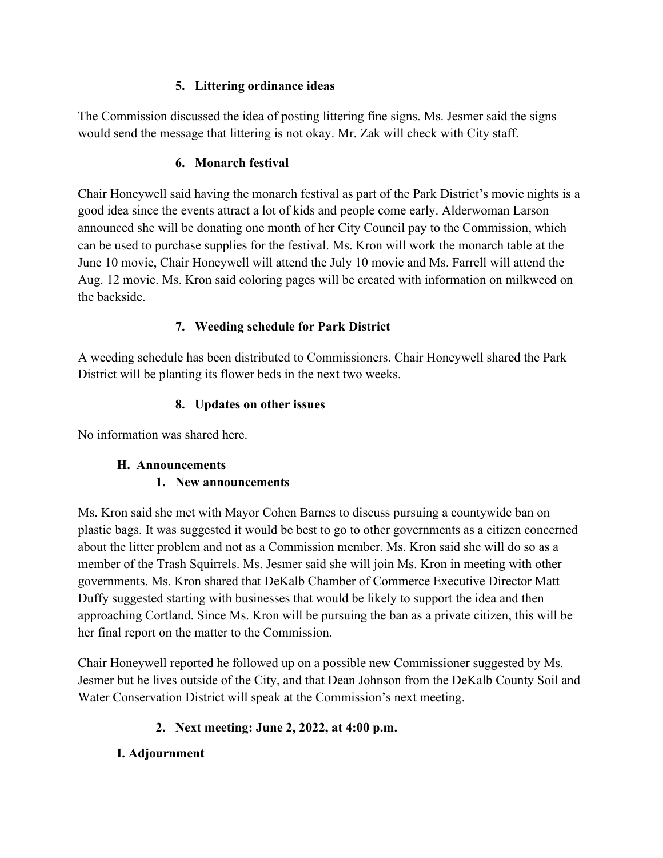#### **5. Littering ordinance ideas**

The Commission discussed the idea of posting littering fine signs. Ms. Jesmer said the signs would send the message that littering is not okay. Mr. Zak will check with City staff.

#### **6. Monarch festival**

Chair Honeywell said having the monarch festival as part of the Park District's movie nights is a good idea since the events attract a lot of kids and people come early. Alderwoman Larson announced she will be donating one month of her City Council pay to the Commission, which can be used to purchase supplies for the festival. Ms. Kron will work the monarch table at the June 10 movie, Chair Honeywell will attend the July 10 movie and Ms. Farrell will attend the Aug. 12 movie. Ms. Kron said coloring pages will be created with information on milkweed on the backside.

#### **7. Weeding schedule for Park District**

A weeding schedule has been distributed to Commissioners. Chair Honeywell shared the Park District will be planting its flower beds in the next two weeks.

#### **8. Updates on other issues**

No information was shared here.

#### **H. Announcements**

#### **1. New announcements**

Ms. Kron said she met with Mayor Cohen Barnes to discuss pursuing a countywide ban on plastic bags. It was suggested it would be best to go to other governments as a citizen concerned about the litter problem and not as a Commission member. Ms. Kron said she will do so as a member of the Trash Squirrels. Ms. Jesmer said she will join Ms. Kron in meeting with other governments. Ms. Kron shared that DeKalb Chamber of Commerce Executive Director Matt Duffy suggested starting with businesses that would be likely to support the idea and then approaching Cortland. Since Ms. Kron will be pursuing the ban as a private citizen, this will be her final report on the matter to the Commission.

Chair Honeywell reported he followed up on a possible new Commissioner suggested by Ms. Jesmer but he lives outside of the City, and that Dean Johnson from the DeKalb County Soil and Water Conservation District will speak at the Commission's next meeting.

## **2. Next meeting: June 2, 2022, at 4:00 p.m.**

#### **I. Adjournment**